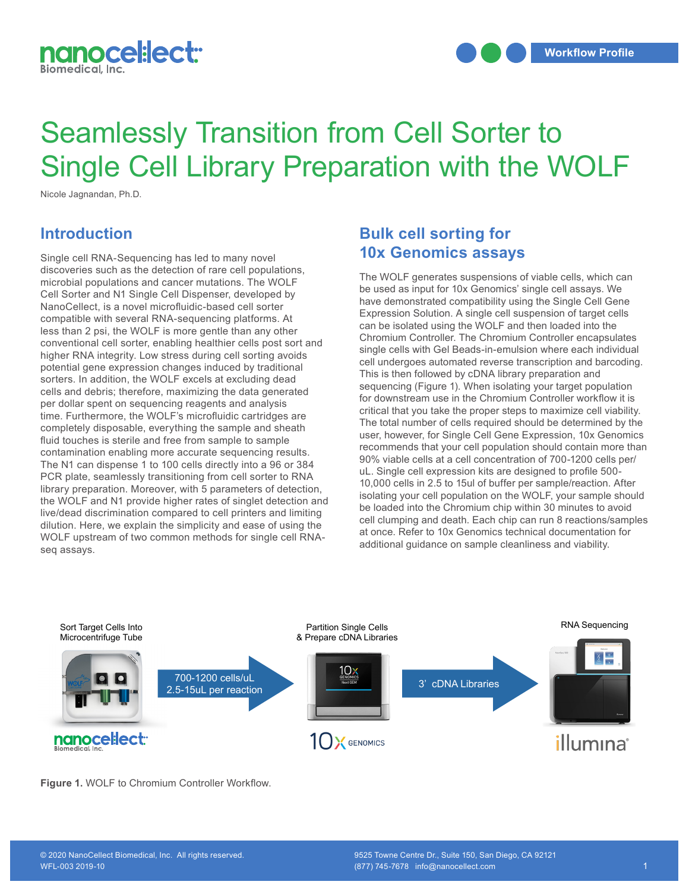

## Seamlessly Transition from Cell Sorter to Single Cell Library Preparation with the WOLF

Nicole Jagnandan, Ph.D.

## **Introduction**

Single cell RNA-Sequencing has led to many novel discoveries such as the detection of rare cell populations, microbial populations and cancer mutations. The WOLF Cell Sorter and N1 Single Cell Dispenser, developed by NanoCellect, is a novel microfluidic-based cell sorter compatible with several RNA-sequencing platforms. At less than 2 psi, the WOLF is more gentle than any other conventional cell sorter, enabling healthier cells post sort and higher RNA integrity. Low stress during cell sorting avoids potential gene expression changes induced by traditional sorters. In addition, the WOLF excels at excluding dead cells and debris; therefore, maximizing the data generated per dollar spent on sequencing reagents and analysis time. Furthermore, the WOLF's microfluidic cartridges are completely disposable, everything the sample and sheath fluid touches is sterile and free from sample to sample contamination enabling more accurate sequencing results. The N1 can dispense 1 to 100 cells directly into a 96 or 384 PCR plate, seamlessly transitioning from cell sorter to RNA library preparation. Moreover, with 5 parameters of detection, the WOLF and N1 provide higher rates of singlet detection and live/dead discrimination compared to cell printers and limiting dilution. Here, we explain the simplicity and ease of using the WOLF upstream of two common methods for single cell RNAseq assays.  $\frac{1}{\sqrt{2}}$  $10000y$ .

## **Bulk cell sorting for 10x Genomics assays**

The WOLF generates suspensions of viable cells, which can be used as input for 10x Genomics' single cell assays. We have demonstrated compatibility using the Single Cell Gene Expression Solution. A single cell suspension of target cells can be isolated using the WOLF and then loaded into the Chromium Controller. The Chromium Controller encapsulates single cells with Gel Beads-in-emulsion where each individual cell undergoes automated reverse transcription and barcoding. This is then followed by cDNA library preparation and sequencing (Figure 1). When isolating your target population for downstream use in the Chromium Controller workflow it is critical that you take the proper steps to maximize cell viability. The total number of cells required should be determined by the user, however, for Single Cell Gene Expression, 10x Genomics recommends that your cell population should contain more than 90% viable cells at a cell concentration of 700-1200 cells per/ uL. Single cell expression kits are designed to profile 500- 10,000 cells in 2.5 to 15ul of buffer per sample/reaction. After isolating your cell population on the WOLF, your sample should be loaded into the Chromium chip within 30 minutes to avoid cell clumping and death. Each chip can run 8 reactions/samples at once. Refer to 10x Genomics technical documentation for additional guidance on sample cleanliness and viability.



**Figure 1.** WOLF to Chromium Controller Workflow.